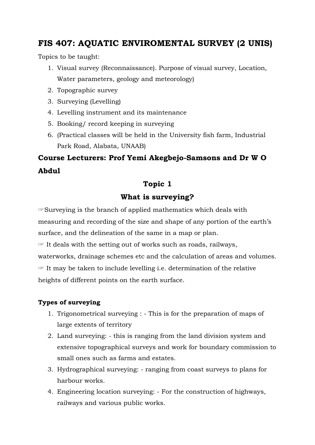# **FIS 407: AQUATIC ENVIROMENTAL SURVEY (2 UNIS)**

Topics to be taught:

- 1. Visual survey (Reconnaissance). Purpose of visual survey, Location, Water parameters, geology and meteorology)
- 2. Topographic survey
- 3. Surveying (Levelling)
- 4. Levelling instrument and its maintenance
- 5. Booking/ record keeping in surveying
- 6. (Practical classes will be held in the University fish farm, Industrial Park Road, Alabata, UNAAB)

# **Course Lecturers: Prof Yemi Akegbejo-Samsons and Dr W O Abdul**

## **Topic 1**

### **What is surveying?**

☞Surveying is the branch of applied mathematics which deals with measuring and recording of the size and shape of any portion of the earth's surface, and the delineation of the same in a map or plan.

☞ It deals with the setting out of works such as roads, railways,

waterworks, drainage schemes etc and the calculation of areas and volumes. ☞ It may be taken to include levelling i.e. determination of the relative heights of different points on the earth surface.

### **Types of surveying**

- 1. Trigonometrical surveying : This is for the preparation of maps of large extents of territory
- 2. Land surveying: this is ranging from the land division system and extensive topographical surveys and work for boundary commission to small ones such as farms and estates.
- 3. Hydrographical surveying: ranging from coast surveys to plans for harbour works.
- 4. Engineering location surveying: For the construction of highways, railways and various public works.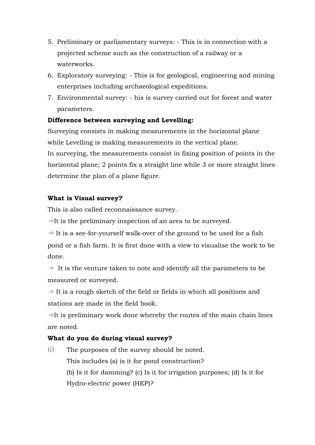- 5. Preliminary or parliamentary surveys: This is in connection with a projected scheme such as the construction of a railway or a waterworks.
- 6. Exploratory surveying: This is for geological, engineering and mining enterprises including archaeological expeditions.
- 7. Environmental survey: his is survey carried out for forest and water parameters.

### **Difference between surveying and Levelling:**

Surveying consists in making measurements in the horizontal plane while Levelling is making measurements in the vertical plane. In surveying, the measurements consist in fixing position of points in the horizontal plane; 2 points fix a straight line while 3 or more straight lines determine the plan of a plane figure.

### **What is Visual survey?**

This is also called reconnaissance survey.

 $\Rightarrow$ It is the preliminary inspection of an area to be surveyed.

 $\Rightarrow$  It is a see-for-yourself walk-over of the ground to be used for a fish pond or a fish farm. It is first done with a view to visualise the work to be done.

 $\Rightarrow$  It is the venture taken to note and identify all the parameters to be measured or surveyed.

 $\Rightarrow$  It is a rough sketch of the field or fields in which all positions and stations are made in the field book.

 $\Rightarrow$ It is preliminary work done whereby the routes of the main chain lines are noted.

### **What do you do during visual survey?**

(i) The purposes of the survey should be noted. This includes (a) is it for pond construction? (b) Is it for damming? (c) Is it for irrigation purposes; (d) Is it for Hydro-electric power (HEP)?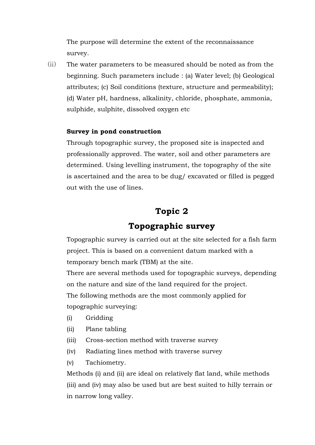The purpose will determine the extent of the reconnaissance survey.

(ii) The water parameters to be measured should be noted as from the beginning. Such parameters include : (a) Water level; (b) Geological attributes; (c) Soil conditions (texture, structure and permeability); (d) Water pH, hardness, alkalinity, chloride, phosphate, ammonia, sulphide, sulphite, dissolved oxygen etc

#### **Survey in pond construction**

Through topographic survey, the proposed site is inspected and professionally approved. The water, soil and other parameters are determined. Using levelling instrument, the topography of the site is ascertained and the area to be dug/ excavated or filled is pegged out with the use of lines.

# **Topic 2**

## **Topographic survey**

Topographic survey is carried out at the site selected for a fish farm project. This is based on a convenient datum marked with a temporary bench mark (TBM) at the site.

There are several methods used for topographic surveys, depending on the nature and size of the land required for the project. The following methods are the most commonly applied for topographic surveying:

- (i) Gridding
- (ii) Plane tabling
- (iii) Cross-section method with traverse survey
- (iv) Radiating lines method with traverse survey
- (v) Tachiometry.

Methods (i) and (ii) are ideal on relatively flat land, while methods (iii) and (iv) may also be used but are best suited to hilly terrain or in narrow long valley.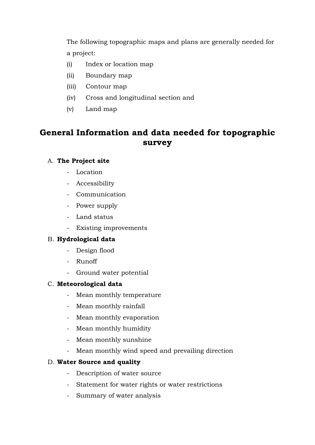The following topographic maps and plans are generally needed for a project:

- (i) Index or location map
- (ii) Boundary map
- (iii) Contour map
- (iv) Cross and longitudinal section and
- (v) Land map

# **General Information and data needed for topographic survey**

### A. **The Project site**

- Location
- Accessibility
- Communication
- Power supply
- Land status
- Existing improvements

#### B. **Hydrological data**

- Design flood
- Runoff
- Ground water potential

#### C. **Meteorological data**

- Mean monthly temperature
- Mean monthly rainfall
- Mean monthly evaporation
- Mean monthly humidity
- Mean monthly sunshine
- Mean monthly wind speed and prevailing direction

#### D. **Water Source and quality**

- Description of water source
- Statement for water rights or water restrictions
- Summary of water analysis